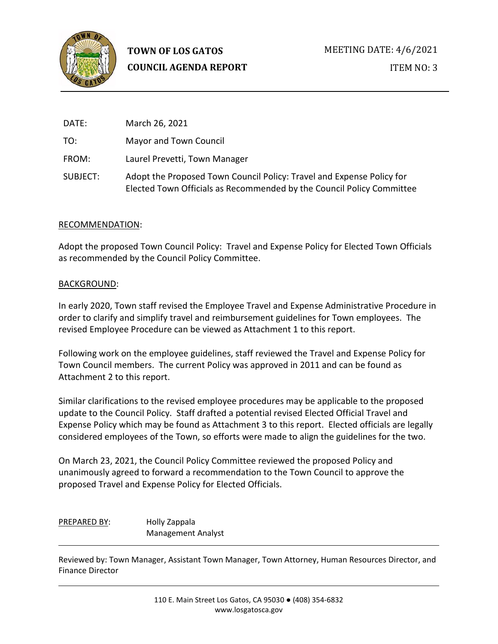

| DATE:    | March 26, 2021                                                                                                                                 |
|----------|------------------------------------------------------------------------------------------------------------------------------------------------|
| TO:      | Mayor and Town Council                                                                                                                         |
| FROM:    | Laurel Prevetti, Town Manager                                                                                                                  |
| SUBJECT: | Adopt the Proposed Town Council Policy: Travel and Expense Policy for<br>Elected Town Officials as Recommended by the Council Policy Committee |

## RECOMMENDATION:

Adopt the proposed Town Council Policy: Travel and Expense Policy for Elected Town Officials as recommended by the Council Policy Committee.

## BACKGROUND:

In early 2020, Town staff revised the Employee Travel and Expense Administrative Procedure in order to clarify and simplify travel and reimbursement guidelines for Town employees. The revised Employee Procedure can be viewed as Attachment 1 to this report.

Following work on the employee guidelines, staff reviewed the Travel and Expense Policy for Town Council members. The current Policy was approved in 2011 and can be found as Attachment 2 to this report.

Similar clarifications to the revised employee procedures may be applicable to the proposed update to the Council Policy. Staff drafted a potential revised Elected Official Travel and Expense Policy which may be found as Attachment 3 to this report. Elected officials are legally considered employees of the Town, so efforts were made to align the guidelines for the two.

On March 23, 2021, the Council Policy Committee reviewed the proposed Policy and unanimously agreed to forward a recommendation to the Town Council to approve the proposed Travel and Expense Policy for Elected Officials.

PREPARED BY: Holly Zappala Management Analyst

Reviewed by: Town Manager, Assistant Town Manager, Town Attorney, Human Resources Director, and Finance Director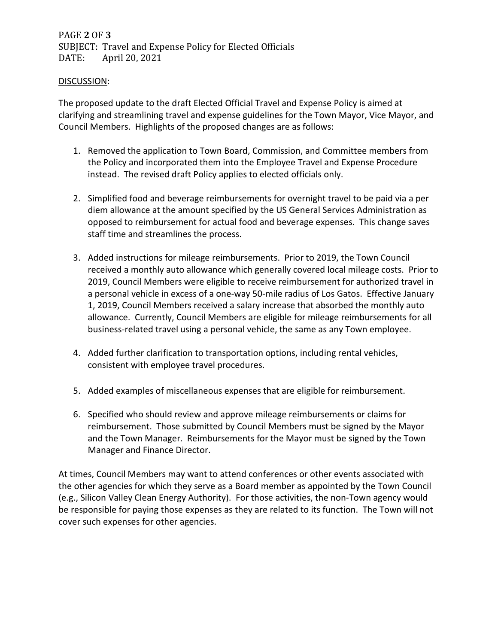# PAGE **2** OF **3** SUBJECT: Travel and Expense Policy for Elected Officials<br>DATE: April 20, 2021 April 20, 2021

#### DISCUSSION:

The proposed update to the draft Elected Official Travel and Expense Policy is aimed at clarifying and streamlining travel and expense guidelines for the Town Mayor, Vice Mayor, and Council Members. Highlights of the proposed changes are as follows:

- 1. Removed the application to Town Board, Commission, and Committee members from the Policy and incorporated them into the Employee Travel and Expense Procedure instead. The revised draft Policy applies to elected officials only.
- 2. Simplified food and beverage reimbursements for overnight travel to be paid via a per diem allowance at the amount specified by the US General Services Administration as opposed to reimbursement for actual food and beverage expenses. This change saves staff time and streamlines the process.
- 3. Added instructions for mileage reimbursements. Prior to 2019, the Town Council received a monthly auto allowance which generally covered local mileage costs. Prior to 2019, Council Members were eligible to receive reimbursement for authorized travel in a personal vehicle in excess of a one-way 50-mile radius of Los Gatos. Effective January 1, 2019, Council Members received a salary increase that absorbed the monthly auto allowance. Currently, Council Members are eligible for mileage reimbursements for all business-related travel using a personal vehicle, the same as any Town employee.
- 4. Added further clarification to transportation options, including rental vehicles, consistent with employee travel procedures.
- 5. Added examples of miscellaneous expenses that are eligible for reimbursement.
- 6. Specified who should review and approve mileage reimbursements or claims for reimbursement. Those submitted by Council Members must be signed by the Mayor and the Town Manager. Reimbursements for the Mayor must be signed by the Town Manager and Finance Director.

At times, Council Members may want to attend conferences or other events associated with the other agencies for which they serve as a Board member as appointed by the Town Council (e.g., Silicon Valley Clean Energy Authority). For those activities, the non-Town agency would be responsible for paying those expenses as they are related to its function. The Town will not cover such expenses for other agencies.